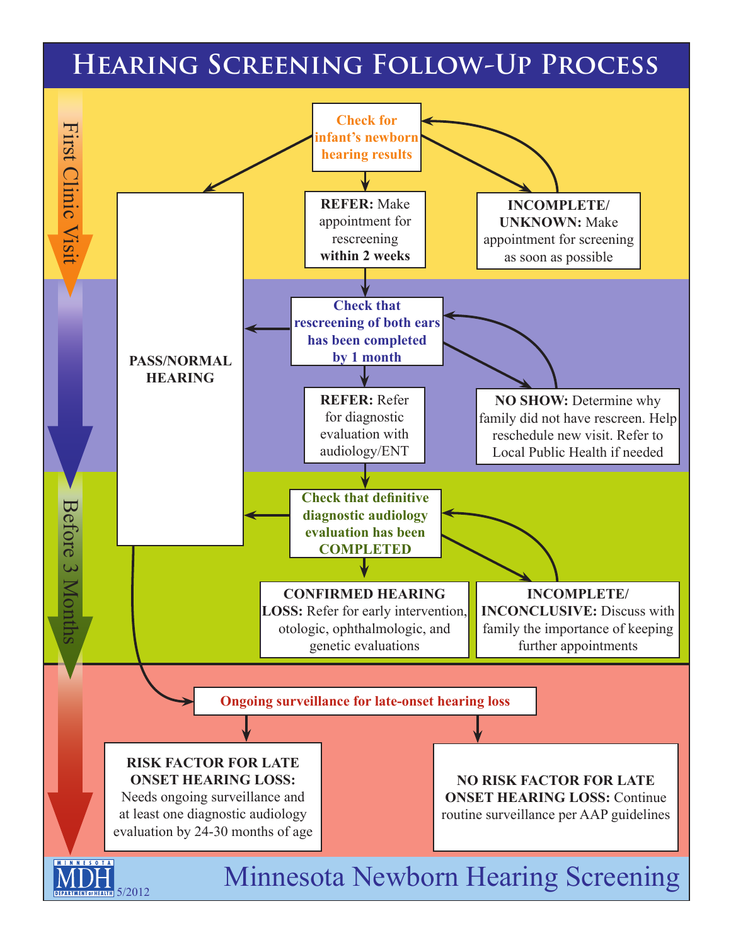## **Hearing Screening Follow-Up Process**